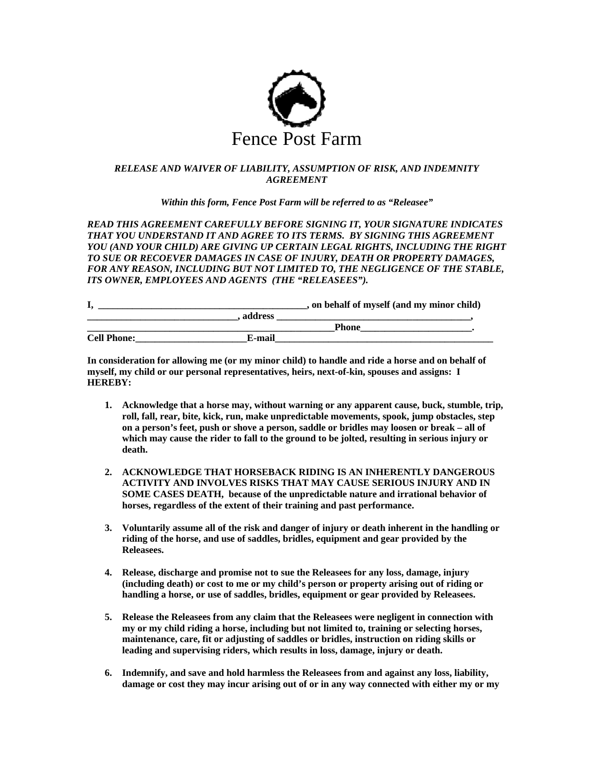

## *RELEASE AND WAIVER OF LIABILITY, ASSUMPTION OF RISK, AND INDEMNITY AGREEMENT*

*Within this form, Fence Post Farm will be referred to as "Releasee"* 

*READ THIS AGREEMENT CAREFULLY BEFORE SIGNING IT, YOUR SIGNATURE INDICATES THAT YOU UNDERSTAND IT AND AGREE TO ITS TERMS. BY SIGNING THIS AGREEMENT YOU (AND YOUR CHILD) ARE GIVING UP CERTAIN LEGAL RIGHTS, INCLUDING THE RIGHT TO SUE OR RECOEVER DAMAGES IN CASE OF INJURY, DEATH OR PROPERTY DAMAGES, FOR ANY REASON, INCLUDING BUT NOT LIMITED TO, THE NEGLIGENCE OF THE STABLE, ITS OWNER, EMPLOYEES AND AGENTS (THE "RELEASEES").* 

|                    |         | , on behalf of myself (and my minor child) |
|--------------------|---------|--------------------------------------------|
|                    | address |                                            |
|                    |         | Phone                                      |
| <b>Cell Phone:</b> | E-mail  |                                            |

**In consideration for allowing me (or my minor child) to handle and ride a horse and on behalf of myself, my child or our personal representatives, heirs, next-of-kin, spouses and assigns: I HEREBY:** 

- **1. Acknowledge that a horse may, without warning or any apparent cause, buck, stumble, trip, roll, fall, rear, bite, kick, run, make unpredictable movements, spook, jump obstacles, step on a person's feet, push or shove a person, saddle or bridles may loosen or break – all of which may cause the rider to fall to the ground to be jolted, resulting in serious injury or death.**
- **2. ACKNOWLEDGE THAT HORSEBACK RIDING IS AN INHERENTLY DANGEROUS ACTIVITY AND INVOLVES RISKS THAT MAY CAUSE SERIOUS INJURY AND IN SOME CASES DEATH, because of the unpredictable nature and irrational behavior of horses, regardless of the extent of their training and past performance.**
- **3. Voluntarily assume all of the risk and danger of injury or death inherent in the handling or riding of the horse, and use of saddles, bridles, equipment and gear provided by the Releasees.**
- **4. Release, discharge and promise not to sue the Releasees for any loss, damage, injury (including death) or cost to me or my child's person or property arising out of riding or handling a horse, or use of saddles, bridles, equipment or gear provided by Releasees.**
- **5. Release the Releasees from any claim that the Releasees were negligent in connection with my or my child riding a horse, including but not limited to, training or selecting horses, maintenance, care, fit or adjusting of saddles or bridles, instruction on riding skills or leading and supervising riders, which results in loss, damage, injury or death.**
- **6. Indemnify, and save and hold harmless the Releasees from and against any loss, liability, damage or cost they may incur arising out of or in any way connected with either my or my**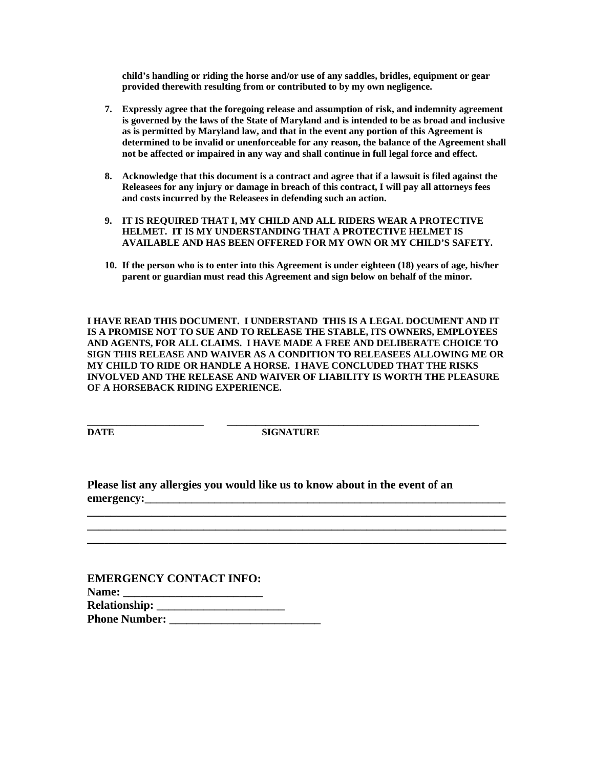**child's handling or riding the horse and/or use of any saddles, bridles, equipment or gear provided therewith resulting from or contributed to by my own negligence.** 

- **7. Expressly agree that the foregoing release and assumption of risk, and indemnity agreement is governed by the laws of the State of Maryland and is intended to be as broad and inclusive as is permitted by Maryland law, and that in the event any portion of this Agreement is determined to be invalid or unenforceable for any reason, the balance of the Agreement shall not be affected or impaired in any way and shall continue in full legal force and effect.**
- **8. Acknowledge that this document is a contract and agree that if a lawsuit is filed against the Releasees for any injury or damage in breach of this contract, I will pay all attorneys fees and costs incurred by the Releasees in defending such an action.**
- **9. IT IS REQUIRED THAT I, MY CHILD AND ALL RIDERS WEAR A PROTECTIVE HELMET. IT IS MY UNDERSTANDING THAT A PROTECTIVE HELMET IS AVAILABLE AND HAS BEEN OFFERED FOR MY OWN OR MY CHILD'S SAFETY.**
- **10. If the person who is to enter into this Agreement is under eighteen (18) years of age, his/her parent or guardian must read this Agreement and sign below on behalf of the minor.**

**I HAVE READ THIS DOCUMENT. I UNDERSTAND THIS IS A LEGAL DOCUMENT AND IT IS A PROMISE NOT TO SUE AND TO RELEASE THE STABLE, ITS OWNERS, EMPLOYEES AND AGENTS, FOR ALL CLAIMS. I HAVE MADE A FREE AND DELIBERATE CHOICE TO SIGN THIS RELEASE AND WAIVER AS A CONDITION TO RELEASEES ALLOWING ME OR MY CHILD TO RIDE OR HANDLE A HORSE. I HAVE CONCLUDED THAT THE RISKS INVOLVED AND THE RELEASE AND WAIVER OF LIABILITY IS WORTH THE PLEASURE OF A HORSEBACK RIDING EXPERIENCE.** 

**DATE** SIGNATURE

**\_\_\_\_\_\_\_\_\_\_\_\_\_\_\_\_\_\_\_\_\_\_\_\_\_\_\_\_\_\_\_\_\_\_\_\_\_\_\_\_\_\_\_\_\_\_\_\_\_\_\_\_\_\_\_\_\_\_\_\_\_\_\_\_\_\_\_\_\_\_\_\_ \_\_\_\_\_\_\_\_\_\_\_\_\_\_\_\_\_\_\_\_\_\_\_\_\_\_\_\_\_\_\_\_\_\_\_\_\_\_\_\_\_\_\_\_\_\_\_\_\_\_\_\_\_\_\_\_\_\_\_\_\_\_\_\_\_\_\_\_\_\_\_\_ \_\_\_\_\_\_\_\_\_\_\_\_\_\_\_\_\_\_\_\_\_\_\_\_\_\_\_\_\_\_\_\_\_\_\_\_\_\_\_\_\_\_\_\_\_\_\_\_\_\_\_\_\_\_\_\_\_\_\_\_\_\_\_\_\_\_\_\_\_\_\_\_** 

**\_\_\_\_\_\_\_\_\_\_\_\_\_\_\_\_\_\_\_\_\_\_\_\_ \_\_\_\_\_\_\_\_\_\_\_\_\_\_\_\_\_\_\_\_\_\_\_\_\_\_\_\_\_\_\_\_\_\_\_\_\_\_\_\_\_\_\_\_\_\_\_\_\_\_\_\_** 

**Please list any allergies you would like us to know about in the event of an**  emergency:

| <b>EMERGENCY CONTACT INFO:</b>             |  |
|--------------------------------------------|--|
| <b>Name:</b>                               |  |
| <b>Relationship: _____________________</b> |  |
| <b>Phone Number:</b>                       |  |